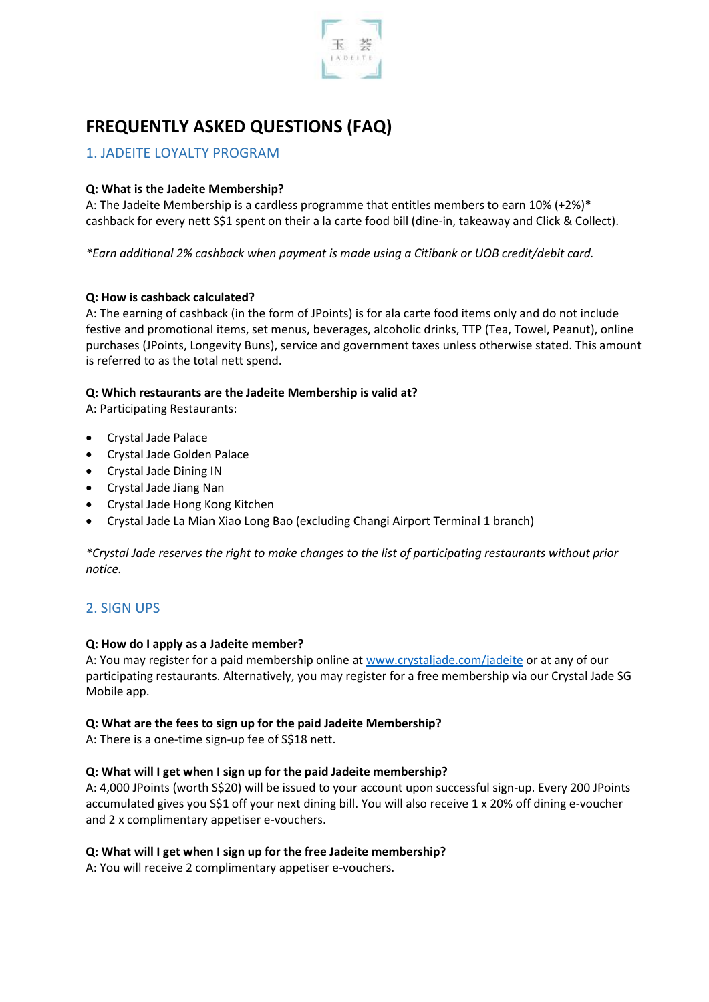

# **FREQUENTLY ASKED QUESTIONS (FAQ)**

# 1. JADEITE LOYALTY PROGRAM

# **Q: What is the Jadeite Membership?**

A: The Jadeite Membership is a cardless programme that entitles members to earn 10% (+2%)\* cashback for every nett S\$1 spent on their a la carte food bill (dine-in, takeaway and Click & Collect).

*\*Earn additional 2% cashback when payment is made using a Citibank or UOB credit/debit card.*

# **Q: How is cashback calculated?**

A: The earning of cashback (in the form of JPoints) is for ala carte food items only and do not include festive and promotional items, set menus, beverages, alcoholic drinks, TTP (Tea, Towel, Peanut), online purchases (JPoints, Longevity Buns), service and government taxes unless otherwise stated. This amount is referred to as the total nett spend.

# **Q: Which restaurants are the Jadeite Membership is valid at?**

A: Participating Restaurants:

- Crystal Jade Palace
- Crystal Jade Golden Palace
- Crystal Jade Dining IN
- Crystal Jade Jiang Nan
- Crystal Jade Hong Kong Kitchen
- Crystal Jade La Mian Xiao Long Bao (excluding Changi Airport Terminal 1 branch)

*\*Crystal Jade reserves the right to make changes to the list of participating restaurants without prior notice.*

# 2. SIGN UPS

#### **Q: How do I apply as a Jadeite member?**

A: You may register for a paid membership online at [www.crystaljade.com/jadeite](http://www.crystaljade.com/jadeite) or at any of our participating restaurants. Alternatively, you may register for a free membership via our Crystal Jade SG Mobile app.

#### **Q: What are the fees to sign up for the paid Jadeite Membership?**

A: There is a one-time sign-up fee of S\$18 nett.

# **Q: What will I get when I sign up for the paid Jadeite membership?**

A: 4,000 JPoints (worth S\$20) will be issued to your account upon successful sign-up. Every 200 JPoints accumulated gives you S\$1 off your next dining bill. You will also receive 1 x 20% off dining e-voucher and 2 x complimentary appetiser e-vouchers.

#### **Q: What will I get when I sign up for the free Jadeite membership?**

A: You will receive 2 complimentary appetiser e-vouchers.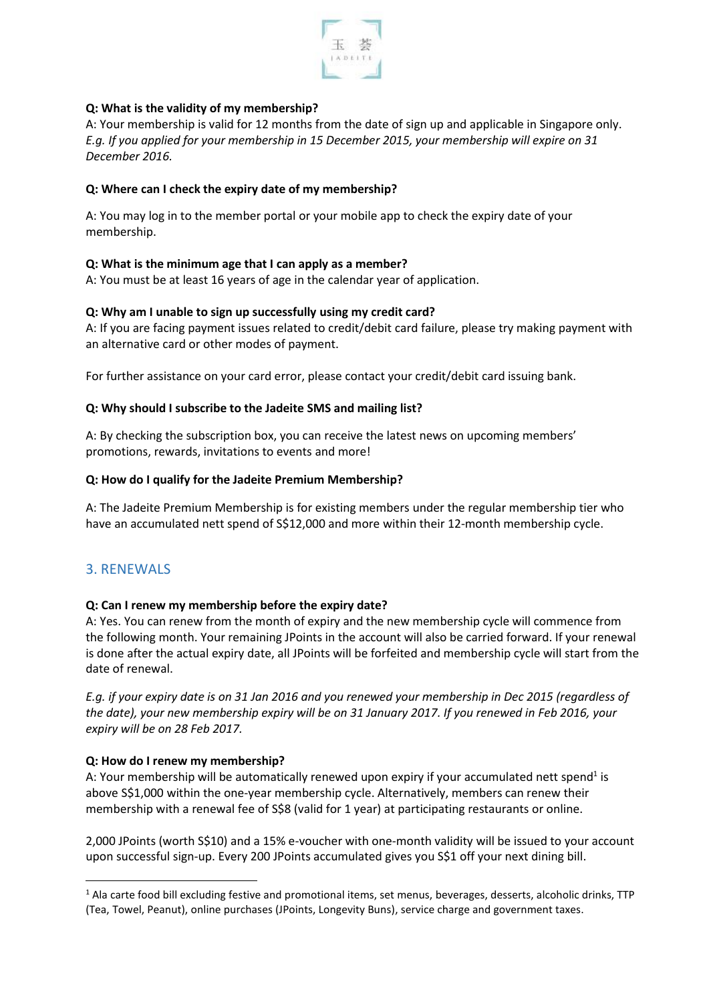

# **Q: What is the validity of my membership?**

A: Your membership is valid for 12 months from the date of sign up and applicable in Singapore only. *E.g. If you applied for your membership in 15 December 2015, your membership will expire on 31 December 2016.*

# **Q: Where can I check the expiry date of my membership?**

A: You may log in to the member portal or your mobile app to check the expiry date of your membership.

# **Q: What is the minimum age that I can apply as a member?**

A: You must be at least 16 years of age in the calendar year of application.

#### **Q: Why am I unable to sign up successfully using my credit card?**

A: If you are facing payment issues related to credit/debit card failure, please try making payment with an alternative card or other modes of payment.

For further assistance on your card error, please contact your credit/debit card issuing bank.

#### **Q: Why should I subscribe to the Jadeite SMS and mailing list?**

A: By checking the subscription box, you can receive the latest news on upcoming members' promotions, rewards, invitations to events and more!

#### **Q: How do I qualify for the Jadeite Premium Membership?**

A: The Jadeite Premium Membership is for existing members under the regular membership tier who have an accumulated nett spend of S\$12,000 and more within their 12-month membership cycle.

# 3. RENEWALS

# **Q: Can I renew my membership before the expiry date?**

A: Yes. You can renew from the month of expiry and the new membership cycle will commence from the following month. Your remaining JPoints in the account will also be carried forward. If your renewal is done after the actual expiry date, all JPoints will be forfeited and membership cycle will start from the date of renewal.

*E.g. if your expiry date is on 31 Jan 2016 and you renewed your membership in Dec 2015 (regardless of the date), your new membership expiry will be on 31 January 2017. If you renewed in Feb 2016, your expiry will be on 28 Feb 2017.*

#### **Q: How do I renew my membership?**

A: Your membership will be automatically renewed upon expiry if your accumulated nett spend<sup>1</sup> is above S\$1,000 within the one-year membership cycle. Alternatively, members can renew their membership with a renewal fee of S\$8 (valid for 1 year) at participating restaurants or online.

2,000 JPoints (worth S\$10) and a 15% e-voucher with one-month validity will be issued to your account upon successful sign-up. Every 200 JPoints accumulated gives you S\$1 off your next dining bill.

 $1$  Ala carte food bill excluding festive and promotional items, set menus, beverages, desserts, alcoholic drinks, TTP (Tea, Towel, Peanut), online purchases (JPoints, Longevity Buns), service charge and government taxes.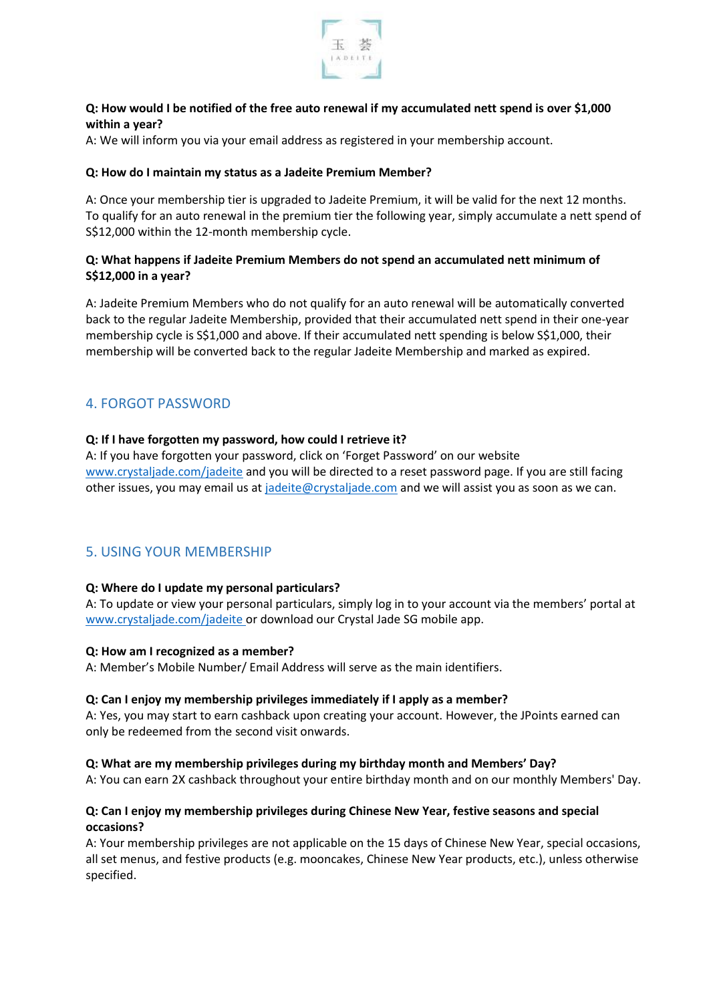

### **Q: How would I be notified of the free auto renewal if my accumulated nett spend is over \$1,000 within a year?**

A: We will inform you via your email address as registered in your membership account.

#### **Q: How do I maintain my status as a Jadeite Premium Member?**

A: Once your membership tier is upgraded to Jadeite Premium, it will be valid for the next 12 months. To qualify for an auto renewal in the premium tier the following year, simply accumulate a nett spend of S\$12,000 within the 12-month membership cycle.

# **Q: What happens if Jadeite Premium Members do not spend an accumulated nett minimum of S\$12,000 in a year?**

A: Jadeite Premium Members who do not qualify for an auto renewal will be automatically converted back to the regular Jadeite Membership, provided that their accumulated nett spend in their one-year membership cycle is S\$1,000 and above. If their accumulated nett spending is below S\$1,000, their membership will be converted back to the regular Jadeite Membership and marked as expired.

# 4. FORGOT PASSWORD

#### **Q: If I have forgotten my password, how could I retrieve it?**

A: If you have forgotten your password, click on 'Forget Password' on our website [www.crystaljade.com/](http://www.crystaljade.com/)jadeite and you will be directed to a reset password page. If you are still facing other issues, you may email us a[t jadeite@crystaljade.com](mailto:jadeite@crystaljade.com) and we will assist you as soon as we can.

# 5. USING YOUR MEMBERSHIP

# **Q: Where do I update my personal particulars?**

A: To update or view your personal particulars, simply log in to your account via the members' portal at [www.crystaljade.com/jadeite](http://www.crystaljade.com/jadeite) or download our Crystal Jade SG mobile app.

#### **Q: How am I recognized as a member?**

A: Member's Mobile Number/ Email Address will serve as the main identifiers.

#### **Q: Can I enjoy my membership privileges immediately if I apply as a member?**

A: Yes, you may start to earn cashback upon creating your account. However, the JPoints earned can only be redeemed from the second visit onwards.

#### **Q: What are my membership privileges during my birthday month and Members' Day?**

A: You can earn 2X cashback throughout your entire birthday month and on our monthly Members' Day.

# **Q: Can I enjoy my membership privileges during Chinese New Year, festive seasons and special occasions?**

A: Your membership privileges are not applicable on the 15 days of Chinese New Year, special occasions, all set menus, and festive products (e.g. mooncakes, Chinese New Year products, etc.), unless otherwise specified.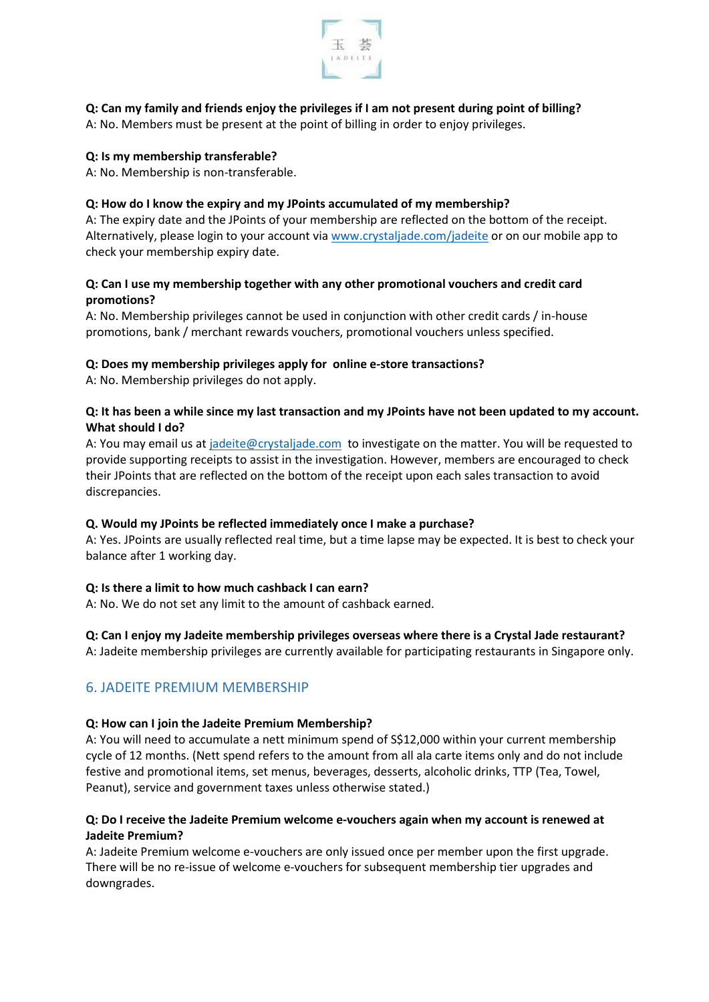

# **Q: Can my family and friends enjoy the privileges if I am not present during point of billing?**

A: No. Members must be present at the point of billing in order to enjoy privileges.

#### **Q: Is my membership transferable?**

A: No. Membership is non-transferable.

#### **Q: How do I know the expiry and my JPoints accumulated of my membership?**

A: The expiry date and the JPoints of your membership are reflected on the bottom of the receipt. Alternatively, please login to your account via [www.crystaljade.com/](http://www.crystaljade.com/)jadeite or on our mobile app to check your membership expiry date.

### **Q: Can I use my membership together with any other promotional vouchers and credit card promotions?**

A: No. Membership privileges cannot be used in conjunction with other credit cards / in-house promotions, bank / merchant rewards vouchers, promotional vouchers unless specified.

#### **Q: Does my membership privileges apply for online e-store transactions?**

A: No. Membership privileges do not apply.

### **Q: It has been a while since my last transaction and my JPoints have not been updated to my account. What should I do?**

A: You may email us at [jadeite@crystaljade.com](mailto:jadeite@crystaljade.com) to investigate on the matter. You will be requested to provide supporting receipts to assist in the investigation. However, members are encouraged to check their JPoints that are reflected on the bottom of the receipt upon each sales transaction to avoid discrepancies.

# **Q. Would my JPoints be reflected immediately once I make a purchase?**

A: Yes. JPoints are usually reflected real time, but a time lapse may be expected. It is best to check your balance after 1 working day.

#### **Q: Is there a limit to how much cashback I can earn?**

A: No. We do not set any limit to the amount of cashback earned.

# **Q: Can I enjoy my Jadeite membership privileges overseas where there is a Crystal Jade restaurant?**

A: Jadeite membership privileges are currently available for participating restaurants in Singapore only.

# 6. JADEITE PREMIUM MEMBERSHIP

#### **Q: How can I join the Jadeite Premium Membership?**

A: You will need to accumulate a nett minimum spend of S\$12,000 within your current membership cycle of 12 months. (Nett spend refers to the amount from all ala carte items only and do not include festive and promotional items, set menus, beverages, desserts, alcoholic drinks, TTP (Tea, Towel, Peanut), service and government taxes unless otherwise stated.)

#### **Q: Do I receive the Jadeite Premium welcome e-vouchers again when my account is renewed at Jadeite Premium?**

A: Jadeite Premium welcome e-vouchers are only issued once per member upon the first upgrade. There will be no re-issue of welcome e-vouchers for subsequent membership tier upgrades and downgrades.